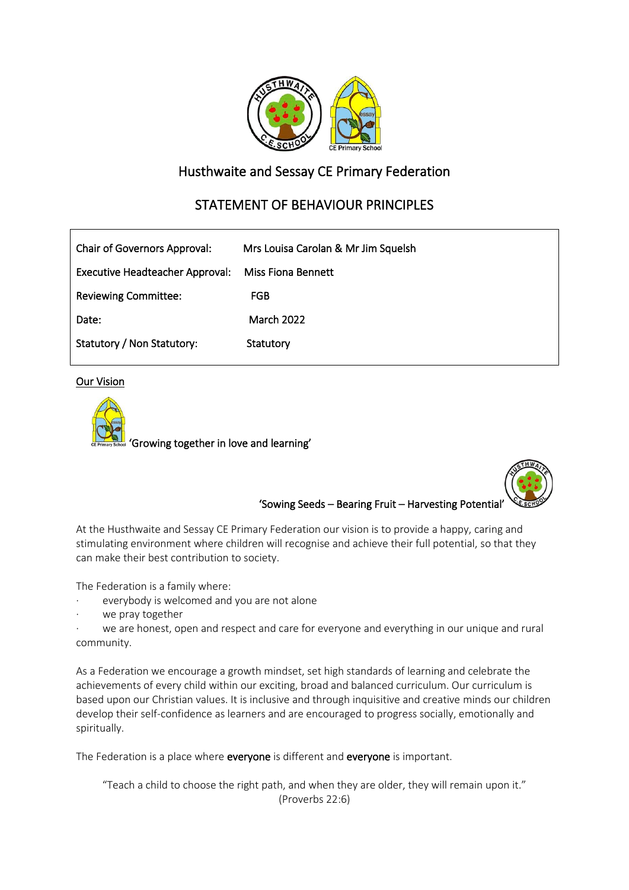

## Husthwaite and Sessay CE Primary Federation

# STATEMENT OF BEHAVIOUR PRINCIPLES

| <b>Chair of Governors Approval:</b> | Mrs Louisa Carolan & Mr Jim Squelsh |
|-------------------------------------|-------------------------------------|
| Executive Headteacher Approval:     | Miss Fiona Bennett                  |
| <b>Reviewing Committee:</b>         | <b>FGB</b>                          |
| Date:                               | <b>March 2022</b>                   |
| Statutory / Non Statutory:          | Statutory                           |

**Our Vision** 





'Sowing Seeds – Bearing Fruit – Harvesting Potential'

At the Husthwaite and Sessay CE Primary Federation our vision is to provide a happy, caring and stimulating environment where children will recognise and achieve their full potential, so that they can make their best contribution to society.

The Federation is a family where:

- everybody is welcomed and you are not alone
- we pray together

we are honest, open and respect and care for everyone and everything in our unique and rural community.

As a Federation we encourage a growth mindset, set high standards of learning and celebrate the achievements of every child within our exciting, broad and balanced curriculum. Our curriculum is based upon our Christian values. It is inclusive and through inquisitive and creative minds our children develop their self-confidence as learners and are encouraged to progress socially, emotionally and spiritually.

The Federation is a place where everyone is different and everyone is important.

"Teach a child to choose the right path, and when they are older, they will remain upon it." (Proverbs 22:6)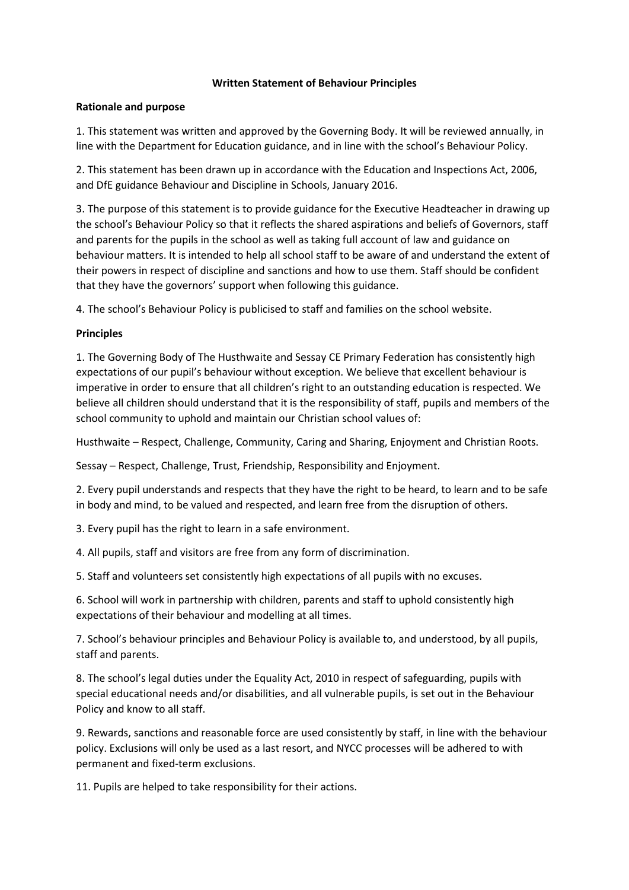#### **Written Statement of Behaviour Principles**

#### **Rationale and purpose**

1. This statement was written and approved by the Governing Body. It will be reviewed annually, in line with the Department for Education guidance, and in line with the school's Behaviour Policy.

2. This statement has been drawn up in accordance with the Education and Inspections Act, 2006, and DfE guidance Behaviour and Discipline in Schools, January 2016.

3. The purpose of this statement is to provide guidance for the Executive Headteacher in drawing up the school's Behaviour Policy so that it reflects the shared aspirations and beliefs of Governors, staff and parents for the pupils in the school as well as taking full account of law and guidance on behaviour matters. It is intended to help all school staff to be aware of and understand the extent of their powers in respect of discipline and sanctions and how to use them. Staff should be confident that they have the governors' support when following this guidance.

4. The school's Behaviour Policy is publicised to staff and families on the school website.

### **Principles**

1. The Governing Body of The Husthwaite and Sessay CE Primary Federation has consistently high expectations of our pupil's behaviour without exception. We believe that excellent behaviour is imperative in order to ensure that all children's right to an outstanding education is respected. We believe all children should understand that it is the responsibility of staff, pupils and members of the school community to uphold and maintain our Christian school values of:

Husthwaite – Respect, Challenge, Community, Caring and Sharing, Enjoyment and Christian Roots.

Sessay – Respect, Challenge, Trust, Friendship, Responsibility and Enjoyment.

2. Every pupil understands and respects that they have the right to be heard, to learn and to be safe in body and mind, to be valued and respected, and learn free from the disruption of others.

3. Every pupil has the right to learn in a safe environment.

4. All pupils, staff and visitors are free from any form of discrimination.

5. Staff and volunteers set consistently high expectations of all pupils with no excuses.

6. School will work in partnership with children, parents and staff to uphold consistently high expectations of their behaviour and modelling at all times.

7. School's behaviour principles and Behaviour Policy is available to, and understood, by all pupils, staff and parents.

8. The school's legal duties under the Equality Act, 2010 in respect of safeguarding, pupils with special educational needs and/or disabilities, and all vulnerable pupils, is set out in the Behaviour Policy and know to all staff.

9. Rewards, sanctions and reasonable force are used consistently by staff, in line with the behaviour policy. Exclusions will only be used as a last resort, and NYCC processes will be adhered to with permanent and fixed-term exclusions.

11. Pupils are helped to take responsibility for their actions.